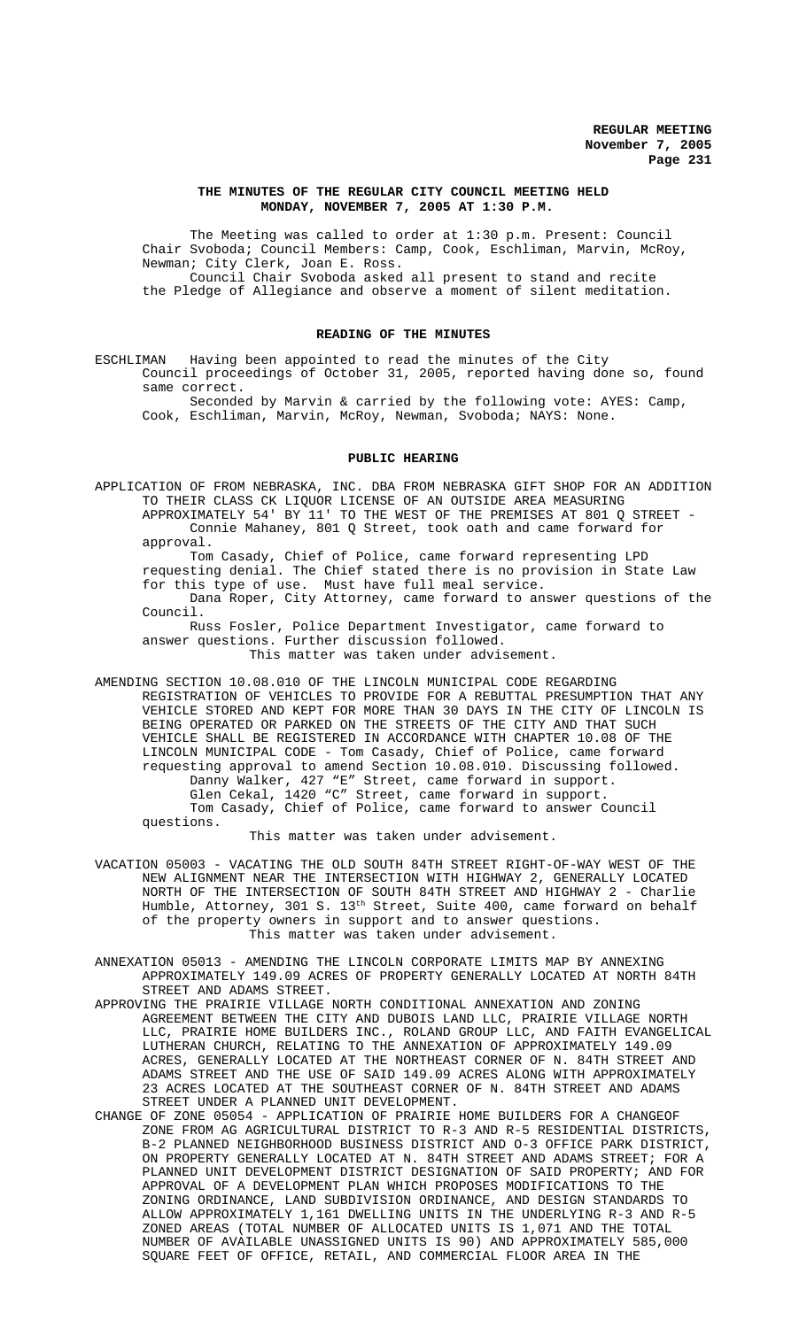#### **THE MINUTES OF THE REGULAR CITY COUNCIL MEETING HELD MONDAY, NOVEMBER 7, 2005 AT 1:30 P.M.**

The Meeting was called to order at 1:30 p.m. Present: Council Chair Svoboda; Council Members: Camp, Cook, Eschliman, Marvin, McRoy, Newman; City Clerk, Joan E. Ross. Council Chair Svoboda asked all present to stand and recite the Pledge of Allegiance and observe a moment of silent meditation.

## **READING OF THE MINUTES**

ESCHLIMAN Having been appointed to read the minutes of the City Council proceedings of October 31, 2005, reported having done so, found same correct.

Seconded by Marvin & carried by the following vote: AYES: Camp, Cook, Eschliman, Marvin, McRoy, Newman, Svoboda; NAYS: None.

## **PUBLIC HEARING**

APPLICATION OF FROM NEBRASKA, INC. DBA FROM NEBRASKA GIFT SHOP FOR AN ADDITION TO THEIR CLASS CK LIQUOR LICENSE OF AN OUTSIDE AREA MEASURING APPROXIMATELY 54' BY 11' TO THE WEST OF THE PREMISES AT 801 Q STREET - Connie Mahaney, 801 Q Street, took oath and came forward for approval.

Tom Casady, Chief of Police, came forward representing LPD requesting denial. The Chief stated there is no provision in State Law for this type of use. Must have full meal service. Dana Roper, City Attorney, came forward to answer questions of the Council.

Russ Fosler, Police Department Investigator, came forward to answer questions. Further discussion followed. This matter was taken under advisement.

AMENDING SECTION 10.08.010 OF THE LINCOLN MUNICIPAL CODE REGARDING REGISTRATION OF VEHICLES TO PROVIDE FOR A REBUTTAL PRESUMPTION THAT ANY VEHICLE STORED AND KEPT FOR MORE THAN 30 DAYS IN THE CITY OF LINCOLN IS BEING OPERATED OR PARKED ON THE STREETS OF THE CITY AND THAT SUCH VEHICLE SHALL BE REGISTERED IN ACCORDANCE WITH CHAPTER 10.08 OF THE LINCOLN MUNICIPAL CODE - Tom Casady, Chief of Police, came forward requesting approval to amend Section 10.08.010. Discussing followed. Danny Walker, 427 "E" Street, came forward in support. Glen Cekal, 1420 "C" Street, came forward in support. Tom Casady, Chief of Police, came forward to answer Council questions.

This matter was taken under advisement.

- VACATION 05003 VACATING THE OLD SOUTH 84TH STREET RIGHT-OF-WAY WEST OF THE NEW ALIGNMENT NEAR THE INTERSECTION WITH HIGHWAY 2, GENERALLY LOCATED NORTH OF THE INTERSECTION OF SOUTH 84TH STREET AND HIGHWAY 2 - Charlie Humble, Attorney, 301 S. 13th Street, Suite 400, came forward on behalf of the property owners in support and to answer questions. This matter was taken under advisement.
- ANNEXATION 05013 AMENDING THE LINCOLN CORPORATE LIMITS MAP BY ANNEXING APPROXIMATELY 149.09 ACRES OF PROPERTY GENERALLY LOCATED AT NORTH 84TH STREET AND ADAMS STREET.
- APPROVING THE PRAIRIE VILLAGE NORTH CONDITIONAL ANNEXATION AND ZONING AGREEMENT BETWEEN THE CITY AND DUBOIS LAND LLC, PRAIRIE VILLAGE NORTH LLC, PRAIRIE HOME BUILDERS INC., ROLAND GROUP LLC, AND FAITH EVANGELICAL LUTHERAN CHURCH, RELATING TO THE ANNEXATION OF APPROXIMATELY 149.09 ACRES, GENERALLY LOCATED AT THE NORTHEAST CORNER OF N. 84TH STREET AND ADAMS STREET AND THE USE OF SAID 149.09 ACRES ALONG WITH APPROXIMATELY 23 ACRES LOCATED AT THE SOUTHEAST CORNER OF N. 84TH STREET AND ADAMS STREET UNDER A PLANNED UNIT DEVELOPMENT.
- CHANGE OF ZONE 05054 APPLICATION OF PRAIRIE HOME BUILDERS FOR A CHANGEOF ZONE FROM AG AGRICULTURAL DISTRICT TO R-3 AND R-5 RESIDENTIAL DISTRICTS, B-2 PLANNED NEIGHBORHOOD BUSINESS DISTRICT AND O-3 OFFICE PARK DISTRICT, ON PROPERTY GENERALLY LOCATED AT N. 84TH STREET AND ADAMS STREET; FOR A PLANNED UNIT DEVELOPMENT DISTRICT DESIGNATION OF SAID PROPERTY; AND FOR APPROVAL OF A DEVELOPMENT PLAN WHICH PROPOSES MODIFICATIONS TO THE ZONING ORDINANCE, LAND SUBDIVISION ORDINANCE, AND DESIGN STANDARDS TO ALLOW APPROXIMATELY 1,161 DWELLING UNITS IN THE UNDERLYING R-3 AND R-5 ZONED AREAS (TOTAL NUMBER OF ALLOCATED UNITS IS 1,071 AND THE TOTAL NUMBER OF AVAILABLE UNASSIGNED UNITS IS 90) AND APPROXIMATELY 585,000 SQUARE FEET OF OFFICE, RETAIL, AND COMMERCIAL FLOOR AREA IN THE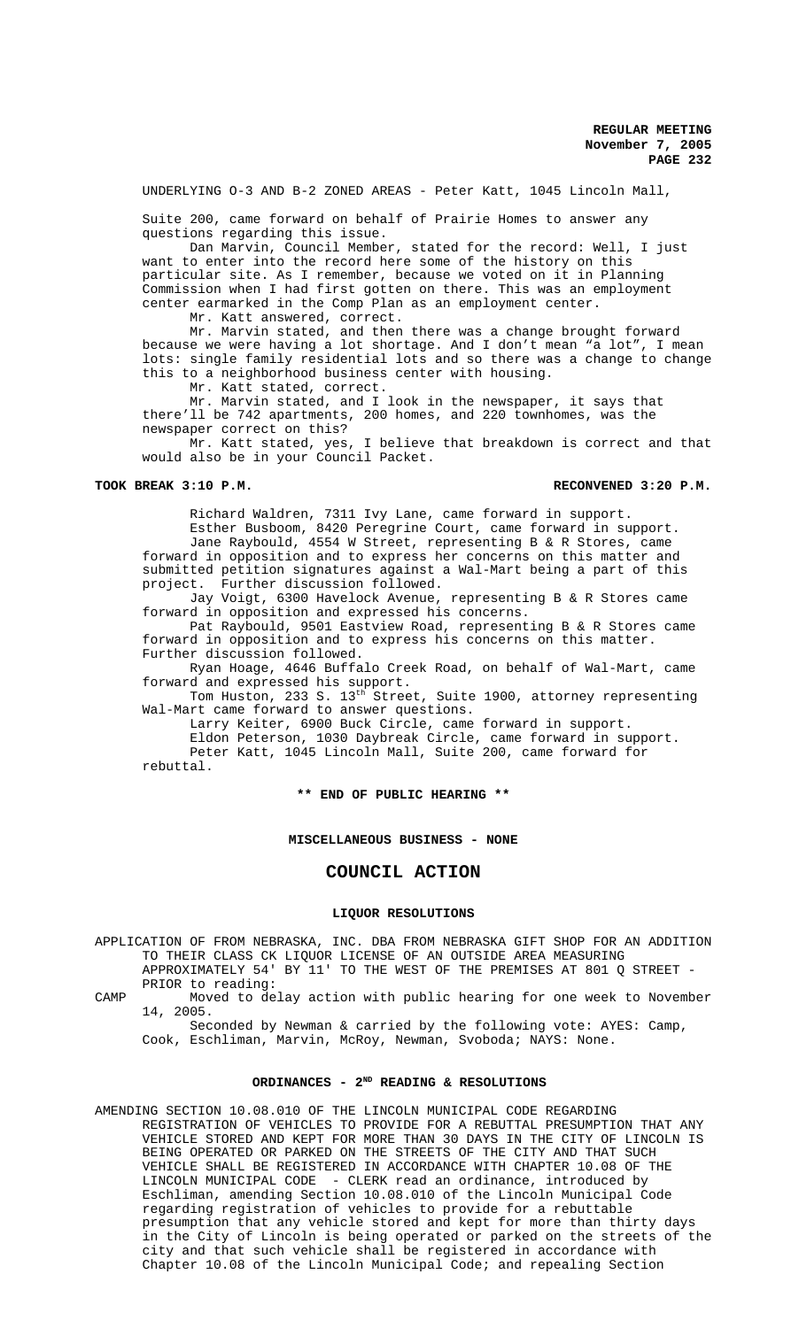UNDERLYING O-3 AND B-2 ZONED AREAS - Peter Katt, 1045 Lincoln Mall,

Suite 200, came forward on behalf of Prairie Homes to answer any questions regarding this issue.

Dan Marvin, Council Member, stated for the record: Well, I just want to enter into the record here some of the history on this particular site. As I remember, because we voted on it in Planning Commission when I had first gotten on there. This was an employment center earmarked in the Comp Plan as an employment center.

Mr. Katt answered, correct.

Mr. Marvin stated, and then there was a change brought forward because we were having a lot shortage. And I don't mean "a lot", I mean lots: single family residential lots and so there was a change to change this to a neighborhood business center with housing.

Mr. Katt stated, correct.

Mr. Marvin stated, and I look in the newspaper, it says that there'll be 742 apartments, 200 homes, and 220 townhomes, was the newspaper correct on this?

Mr. Katt stated, yes, I believe that breakdown is correct and that would also be in your Council Packet.

#### **TOOK BREAK 3:10 P.M. RECONVENED 3:20 P.M.**

Richard Waldren, 7311 Ivy Lane, came forward in support. Esther Busboom, 8420 Peregrine Court, came forward in support. Jane Raybould, 4554 W Street, representing B & R Stores, came forward in opposition and to express her concerns on this matter and submitted petition signatures against a Wal-Mart being a part of this project. Further discussion followed.

Jay Voigt, 6300 Havelock Avenue, representing B & R Stores came forward in opposition and expressed his concerns.

Pat Raybould, 9501 Eastview Road, representing B & R Stores came forward in opposition and to express his concerns on this matter. Further discussion followed.

Ryan Hoage, 4646 Buffalo Creek Road, on behalf of Wal-Mart, came forward and expressed his support.

Tom Huston, 233 S. 13<sup>th</sup> Street, Suite 1900, attorney representing Wal-Mart came forward to answer questions.

Larry Keiter, 6900 Buck Circle, came forward in support.

Eldon Peterson, 1030 Daybreak Circle, came forward in support. Peter Katt, 1045 Lincoln Mall, Suite 200, came forward for rebuttal.

**\*\* END OF PUBLIC HEARING \*\***

### **MISCELLANEOUS BUSINESS - NONE**

# **COUNCIL ACTION**

## **LIQUOR RESOLUTIONS**

APPLICATION OF FROM NEBRASKA, INC. DBA FROM NEBRASKA GIFT SHOP FOR AN ADDITION TO THEIR CLASS CK LIQUOR LICENSE OF AN OUTSIDE AREA MEASURING APPROXIMATELY 54' BY 11' TO THE WEST OF THE PREMISES AT 801 Q STREET - PRIOR to reading:

CAMP Moved to delay action with public hearing for one week to November 14, 2005.

Seconded by Newman & carried by the following vote: AYES: Camp, Cook, Eschliman, Marvin, McRoy, Newman, Svoboda; NAYS: None.

# **ORDINANCES - 2ND READING & RESOLUTIONS**

AMENDING SECTION 10.08.010 OF THE LINCOLN MUNICIPAL CODE REGARDING REGISTRATION OF VEHICLES TO PROVIDE FOR A REBUTTAL PRESUMPTION THAT ANY VEHICLE STORED AND KEPT FOR MORE THAN 30 DAYS IN THE CITY OF LINCOLN IS BEING OPERATED OR PARKED ON THE STREETS OF THE CITY AND THAT SUCH VEHICLE SHALL BE REGISTERED IN ACCORDANCE WITH CHAPTER 10.08 OF THE LINCOLN MUNICIPAL CODE - CLERK read an ordinance, introduced by Eschliman, amending Section 10.08.010 of the Lincoln Municipal Code regarding registration of vehicles to provide for a rebuttable presumption that any vehicle stored and kept for more than thirty days in the City of Lincoln is being operated or parked on the streets of the city and that such vehicle shall be registered in accordance with Chapter 10.08 of the Lincoln Municipal Code; and repealing Section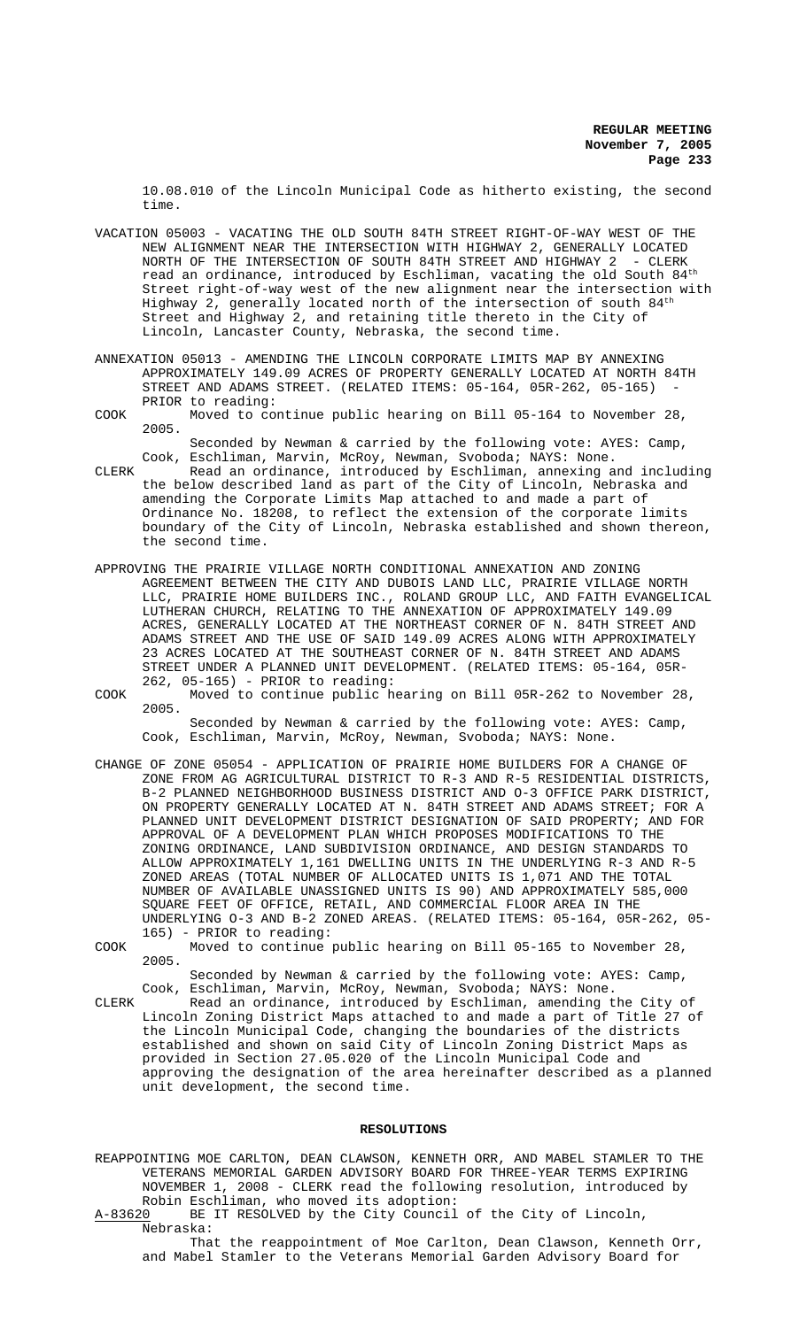10.08.010 of the Lincoln Municipal Code as hitherto existing, the second time.

- VACATION 05003 VACATING THE OLD SOUTH 84TH STREET RIGHT-OF-WAY WEST OF THE NEW ALIGNMENT NEAR THE INTERSECTION WITH HIGHWAY 2, GENERALLY LOCATED<br>NORTH OF THE INTERSECTION OF SOUTH 84TH STREET AND HIGHWAY 2 - CLERK NORTH OF THE INTERSECTION OF SOUTH 84TH STREET AND HIGHWAY 2 read an ordinance, introduced by Eschliman, vacating the old South  $84<sup>th</sup>$ Street right-of-way west of the new alignment near the intersection with Highway 2, generally located north of the intersection of south  $84<sup>th</sup>$ Street and Highway 2, and retaining title thereto in the City of Lincoln, Lancaster County, Nebraska, the second time.
- ANNEXATION 05013 AMENDING THE LINCOLN CORPORATE LIMITS MAP BY ANNEXING APPROXIMATELY 149.09 ACRES OF PROPERTY GENERALLY LOCATED AT NORTH 84TH STREET AND ADAMS STREET. (RELATED ITEMS: 05-164, 05R-262, 05-165) PRIOR to reading:
- COOK Moved to continue public hearing on Bill 05-164 to November 28, 2005.

Seconded by Newman & carried by the following vote: AYES: Camp, Cook, Eschliman, Marvin, McRoy, Newman, Svoboda; NAYS: None.

- CLERK Read an ordinance, introduced by Eschliman, annexing and including the below described land as part of the City of Lincoln, Nebraska and amending the Corporate Limits Map attached to and made a part of Ordinance No. 18208, to reflect the extension of the corporate limits boundary of the City of Lincoln, Nebraska established and shown thereon, the second time.
- APPROVING THE PRAIRIE VILLAGE NORTH CONDITIONAL ANNEXATION AND ZONING AGREEMENT BETWEEN THE CITY AND DUBOIS LAND LLC, PRAIRIE VILLAGE NORTH LLC, PRAIRIE HOME BUILDERS INC., ROLAND GROUP LLC, AND FAITH EVANGELICAL LUTHERAN CHURCH, RELATING TO THE ANNEXATION OF APPROXIMATELY 149.09 ACRES, GENERALLY LOCATED AT THE NORTHEAST CORNER OF N. 84TH STREET AND ADAMS STREET AND THE USE OF SAID 149.09 ACRES ALONG WITH APPROXIMATELY 23 ACRES LOCATED AT THE SOUTHEAST CORNER OF N. 84TH STREET AND ADAMS STREET UNDER A PLANNED UNIT DEVELOPMENT. (RELATED ITEMS: 05-164, 05R-262, 05-165) - PRIOR to reading:
- COOK Moved to continue public hearing on Bill 05R-262 to November 28, 2005. Seconded by Newman & carried by the following vote: AYES: Camp,

Cook, Eschliman, Marvin, McRoy, Newman, Svoboda; NAYS: None.

- CHANGE OF ZONE 05054 APPLICATION OF PRAIRIE HOME BUILDERS FOR A CHANGE OF ZONE FROM AG AGRICULTURAL DISTRICT TO R-3 AND R-5 RESIDENTIAL DISTRICTS, B-2 PLANNED NEIGHBORHOOD BUSINESS DISTRICT AND O-3 OFFICE PARK DISTRICT, ON PROPERTY GENERALLY LOCATED AT N. 84TH STREET AND ADAMS STREET; FOR A PLANNED UNIT DEVELOPMENT DISTRICT DESIGNATION OF SAID PROPERTY; AND FOR APPROVAL OF A DEVELOPMENT PLAN WHICH PROPOSES MODIFICATIONS TO THE ZONING ORDINANCE, LAND SUBDIVISION ORDINANCE, AND DESIGN STANDARDS TO ALLOW APPROXIMATELY 1,161 DWELLING UNITS IN THE UNDERLYING R-3 AND R-5 ZONED AREAS (TOTAL NUMBER OF ALLOCATED UNITS IS 1,071 AND THE TOTAL NUMBER OF AVAILABLE UNASSIGNED UNITS IS 90) AND APPROXIMATELY 585,000 SQUARE FEET OF OFFICE, RETAIL, AND COMMERCIAL FLOOR AREA IN THE UNDERLYING O-3 AND B-2 ZONED AREAS. (RELATED ITEMS: 05-164, 05R-262, 05- 165) - PRIOR to reading:
- COOK Moved to continue public hearing on Bill 05-165 to November 28, 2005.

Seconded by Newman & carried by the following vote: AYES: Camp, Cook, Eschliman, Marvin, McRoy, Newman, Svoboda; NAYS: None.

CLERK Read an ordinance, introduced by Eschliman, amending the City of Lincoln Zoning District Maps attached to and made a part of Title 27 of the Lincoln Municipal Code, changing the boundaries of the districts established and shown on said City of Lincoln Zoning District Maps as provided in Section 27.05.020 of the Lincoln Municipal Code and approving the designation of the area hereinafter described as a planned unit development, the second time.

# **RESOLUTIONS**

REAPPOINTING MOE CARLTON, DEAN CLAWSON, KENNETH ORR, AND MABEL STAMLER TO THE VETERANS MEMORIAL GARDEN ADVISORY BOARD FOR THREE-YEAR TERMS EXPIRING NOVEMBER 1, 2008 - CLERK read the following resolution, introduced by Robin Eschliman, who moved its adoption:

A-83620 BE IT RESOLVED by the City Council of the City of Lincoln, Nebraska:

That the reappointment of Moe Carlton, Dean Clawson, Kenneth Orr, and Mabel Stamler to the Veterans Memorial Garden Advisory Board for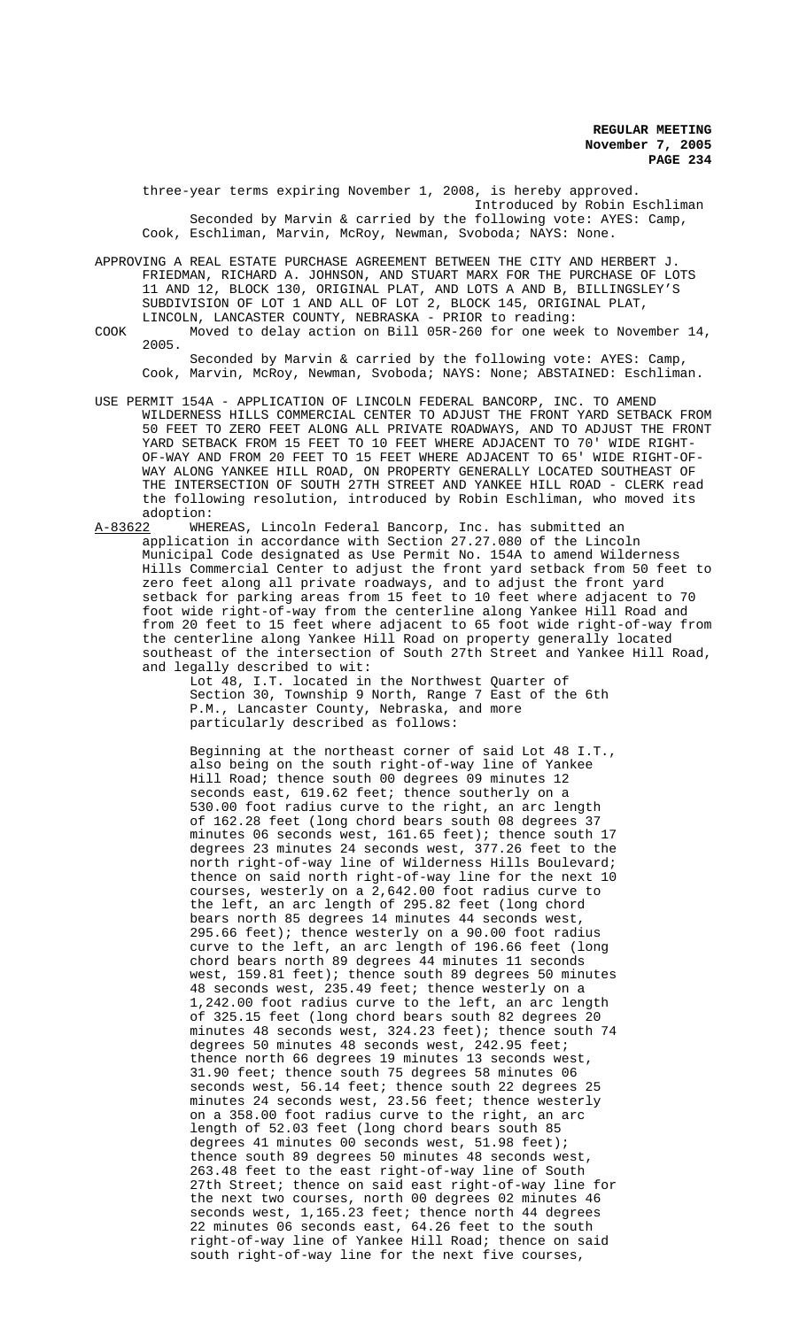three-year terms expiring November 1, 2008, is hereby approved. Introduced by Robin Eschliman Seconded by Marvin & carried by the following vote: AYES: Camp, Cook, Eschliman, Marvin, McRoy, Newman, Svoboda; NAYS: None.

APPROVING A REAL ESTATE PURCHASE AGREEMENT BETWEEN THE CITY AND HERBERT J. FRIEDMAN, RICHARD A. JOHNSON, AND STUART MARX FOR THE PURCHASE OF LOTS 11 AND 12, BLOCK 130, ORIGINAL PLAT, AND LOTS A AND B, BILLINGSLEY'S SUBDIVISION OF LOT 1 AND ALL OF LOT 2, BLOCK 145, ORIGINAL PLAT, LINCOLN, LANCASTER COUNTY, NEBRASKA - PRIOR to reading:

COOK Moved to delay action on Bill 05R-260 for one week to November 14, 2005.

Seconded by Marvin & carried by the following vote: AYES: Camp, Cook, Marvin, McRoy, Newman, Svoboda; NAYS: None; ABSTAINED: Eschliman.

- USE PERMIT 154A APPLICATION OF LINCOLN FEDERAL BANCORP, INC. TO AMEND WILDERNESS HILLS COMMERCIAL CENTER TO ADJUST THE FRONT YARD SETBACK FROM 50 FEET TO ZERO FEET ALONG ALL PRIVATE ROADWAYS, AND TO ADJUST THE FRONT YARD SETBACK FROM 15 FEET TO 10 FEET WHERE ADJACENT TO 70' WIDE RIGHT-OF-WAY AND FROM 20 FEET TO 15 FEET WHERE ADJACENT TO 65' WIDE RIGHT-OF-WAY ALONG YANKEE HILL ROAD, ON PROPERTY GENERALLY LOCATED SOUTHEAST OF THE INTERSECTION OF SOUTH 27TH STREET AND YANKEE HILL ROAD - CLERK read the following resolution, introduced by Robin Eschliman, who moved its adoption:<br>A-83622 WHE
- A-83622 MHEREAS, Lincoln Federal Bancorp, Inc. has submitted an application in accordance with Section 27.27.080 of the Lincoln Municipal Code designated as Use Permit No. 154A to amend Wilderness Hills Commercial Center to adjust the front yard setback from 50 feet to zero feet along all private roadways, and to adjust the front yard setback for parking areas from 15 feet to 10 feet where adjacent to 70 foot wide right-of-way from the centerline along Yankee Hill Road and from 20 feet to 15 feet where adjacent to 65 foot wide right-of-way from the centerline along Yankee Hill Road on property generally located southeast of the intersection of South 27th Street and Yankee Hill Road, and legally described to wit:

Lot 48, I.T. located in the Northwest Quarter of Section 30, Township 9 North, Range 7 East of the 6th P.M., Lancaster County, Nebraska, and more particularly described as follows:

Beginning at the northeast corner of said Lot 48 I.T., also being on the south right-of-way line of Yankee Hill Road; thence south 00 degrees 09 minutes 12 seconds east, 619.62 feet; thence southerly on a 530.00 foot radius curve to the right, an arc length of 162.28 feet (long chord bears south 08 degrees 37 minutes 06 seconds west, 161.65 feet); thence south 17 degrees 23 minutes 24 seconds west, 377.26 feet to the north right-of-way line of Wilderness Hills Boulevard; thence on said north right-of-way line for the next 10 courses, westerly on a 2,642.00 foot radius curve to the left, an arc length of 295.82 feet (long chord bears north 85 degrees 14 minutes 44 seconds west, 295.66 feet); thence westerly on a 90.00 foot radius curve to the left, an arc length of 196.66 feet (long chord bears north 89 degrees 44 minutes 11 seconds west, 159.81 feet); thence south 89 degrees 50 minutes 48 seconds west, 235.49 feet; thence westerly on a 1,242.00 foot radius curve to the left, an arc length of 325.15 feet (long chord bears south 82 degrees 20 minutes 48 seconds west, 324.23 feet); thence south 74 degrees 50 minutes 48 seconds west, 242.95 feet; thence north 66 degrees 19 minutes 13 seconds west, 31.90 feet; thence south 75 degrees 58 minutes 06 seconds west, 56.14 feet; thence south 22 degrees 25 minutes 24 seconds west, 23.56 feet; thence westerly on a 358.00 foot radius curve to the right, an arc length of 52.03 feet (long chord bears south 85 degrees 41 minutes 00 seconds west, 51.98 feet); thence south 89 degrees 50 minutes 48 seconds west, 263.48 feet to the east right-of-way line of South 27th Street; thence on said east right-of-way line for the next two courses, north 00 degrees 02 minutes 46 seconds west, 1,165.23 feet; thence north 44 degrees 22 minutes 06 seconds east, 64.26 feet to the south right-of-way line of Yankee Hill Road; thence on said south right-of-way line for the next five courses,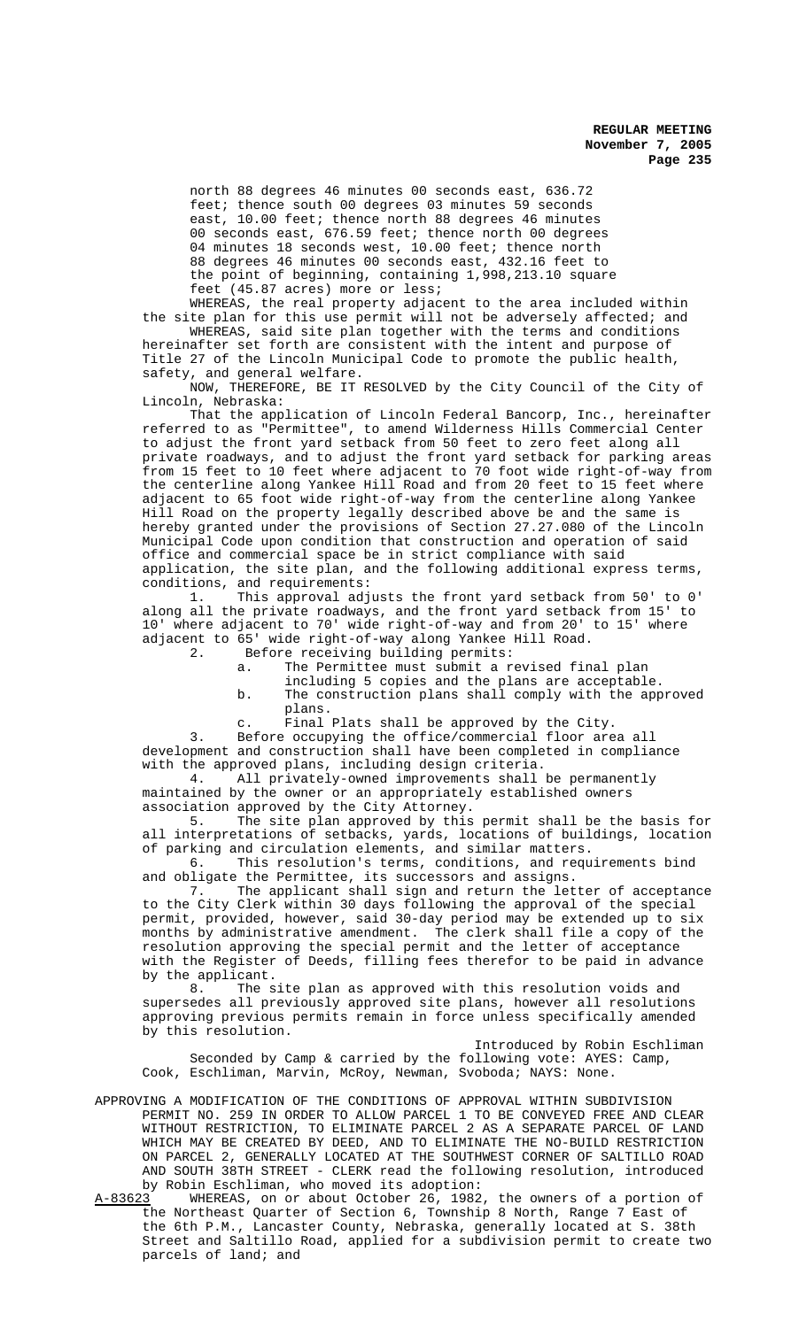north 88 degrees 46 minutes 00 seconds east, 636.72 feet; thence south 00 degrees 03 minutes 59 seconds east, 10.00 feet; thence north 88 degrees 46 minutes 00 seconds east, 676.59 feet; thence north 00 degrees 04 minutes 18 seconds west, 10.00 feet; thence north 88 degrees 46 minutes 00 seconds east, 432.16 feet to the point of beginning, containing 1,998,213.10 square feet (45.87 acres) more or less;

WHEREAS, the real property adjacent to the area included within the site plan for this use permit will not be adversely affected; and

WHEREAS, said site plan together with the terms and conditions hereinafter set forth are consistent with the intent and purpose of Title 27 of the Lincoln Municipal Code to promote the public health, safety, and general welfare.

NOW, THEREFORE, BE IT RESOLVED by the City Council of the City of Lincoln, Nebraska:

That the application of Lincoln Federal Bancorp, Inc., hereinafter referred to as "Permittee", to amend Wilderness Hills Commercial Center to adjust the front yard setback from 50 feet to zero feet along all private roadways, and to adjust the front yard setback for parking areas from 15 feet to 10 feet where adjacent to 70 foot wide right-of-way from the centerline along Yankee Hill Road and from 20 feet to 15 feet where adjacent to 65 foot wide right-of-way from the centerline along Yankee Hill Road on the property legally described above be and the same is hereby granted under the provisions of Section 27.27.080 of the Lincoln Municipal Code upon condition that construction and operation of said office and commercial space be in strict compliance with said application, the site plan, and the following additional express terms,

conditions, and requirements:<br>1. This approval adj This approval adjusts the front yard setback from 50' to 0' along all the private roadways, and the front yard setback from 15' to 10' where adjacent to 70' wide right-of-way and from 20' to 15' where adjacent to 65' wide right-of-way along Yankee Hill Road.

2. Before receiving building permits:<br>a. The Permittee must submit a r

The Permittee must submit a revised final plan

- including 5 copies and the plans are acceptable. b. The construction plans shall comply with the approved plans.
- c. Final Plats shall be approved by the City.

3. Before occupying the office/commercial floor area all development and construction shall have been completed in compliance with the approved plans, including design criteria.<br>4. All privately-owned improvements shall

All privately-owned improvements shall be permanently maintained by the owner or an appropriately established owners association approved by the City Attorney.

5. The site plan approved by this permit shall be the basis for all interpretations of setbacks, yards, locations of buildings, location of parking and circulation elements, and similar matters.

6. This resolution's terms, conditions, and requirements bind and obligate the Permittee, its successors and assigns.

7. The applicant shall sign and return the letter of acceptance to the City Clerk within 30 days following the approval of the special permit, provided, however, said 30-day period may be extended up to six months by administrative amendment. The clerk shall file a copy of the resolution approving the special permit and the letter of acceptance with the Register of Deeds, filling fees therefor to be paid in advance by the applicant.

8. The site plan as approved with this resolution voids and supersedes all previously approved site plans, however all resolutions approving previous permits remain in force unless specifically amended by this resolution.

Introduced by Robin Eschliman Seconded by Camp & carried by the following vote: AYES: Camp, Cook, Eschliman, Marvin, McRoy, Newman, Svoboda; NAYS: None.

- APPROVING A MODIFICATION OF THE CONDITIONS OF APPROVAL WITHIN SUBDIVISION PERMIT NO. 259 IN ORDER TO ALLOW PARCEL 1 TO BE CONVEYED FREE AND CLEAR WITHOUT RESTRICTION, TO ELIMINATE PARCEL 2 AS A SEPARATE PARCEL OF LAND WHICH MAY BE CREATED BY DEED, AND TO ELIMINATE THE NO-BUILD RESTRICTION ON PARCEL 2, GENERALLY LOCATED AT THE SOUTHWEST CORNER OF SALTILLO ROAD AND SOUTH 38TH STREET - CLERK read the following resolution, introduced by Robin Eschliman, who moved its adoption:
- A-83623 WHEREAS, on or about October 26, 1982, the owners of a portion of the Northeast Quarter of Section 6, Township 8 North, Range 7 East of the 6th P.M., Lancaster County, Nebraska, generally located at S. 38th Street and Saltillo Road, applied for a subdivision permit to create two parcels of land; and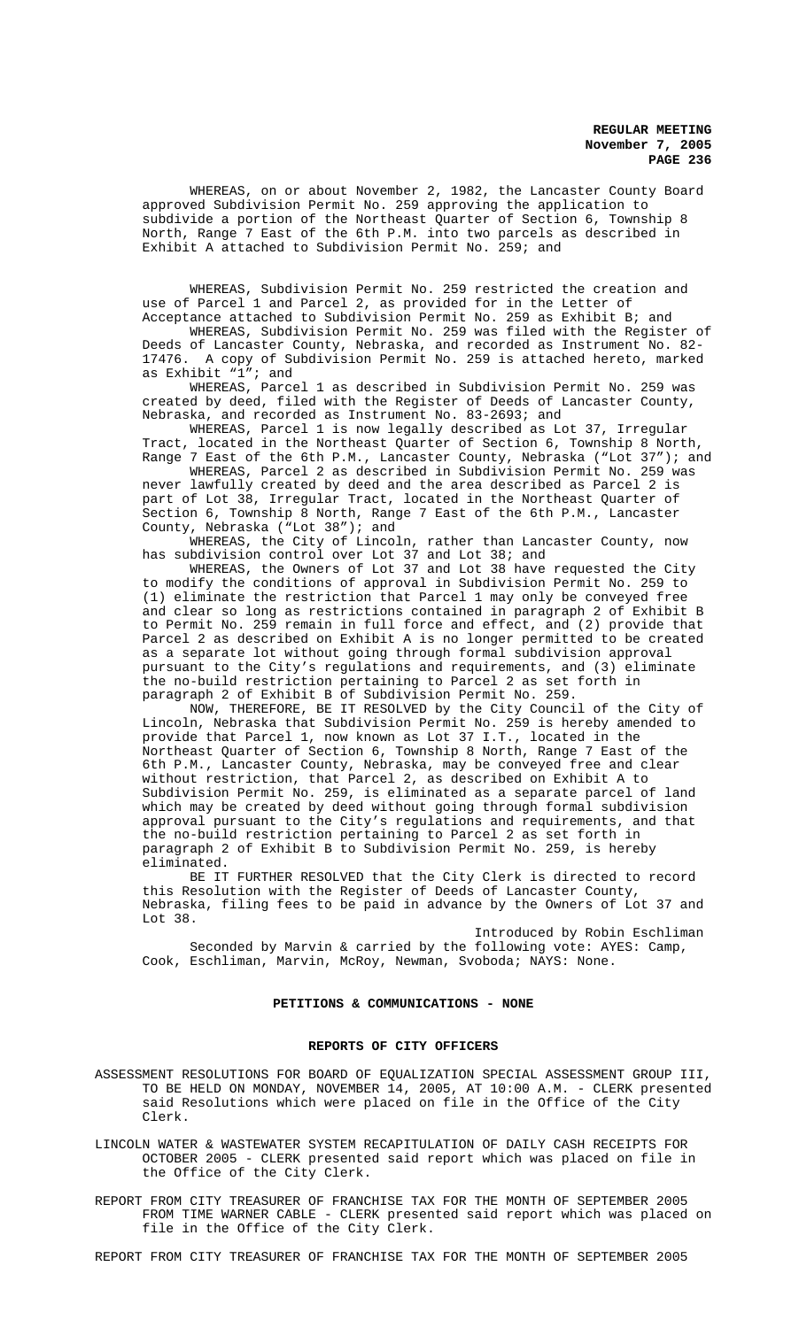WHEREAS, on or about November 2, 1982, the Lancaster County Board approved Subdivision Permit No. 259 approving the application to subdivide a portion of the Northeast Quarter of Section 6, Township 8 North, Range 7 East of the 6th P.M. into two parcels as described in Exhibit A attached to Subdivision Permit No. 259; and

WHEREAS, Subdivision Permit No. 259 restricted the creation and use of Parcel 1 and Parcel 2, as provided for in the Letter of Acceptance attached to Subdivision Permit No. 259 as Exhibit B; and

WHEREAS, Subdivision Permit No. 259 was filed with the Register of Deeds of Lancaster County, Nebraska, and recorded as Instrument No. 82- 17476. A copy of Subdivision Permit No. 259 is attached hereto, marked as Exhibit "1"; and

WHEREAS, Parcel 1 as described in Subdivision Permit No. 259 was created by deed, filed with the Register of Deeds of Lancaster County, Nebraska, and recorded as Instrument No. 83-2693; and

WHEREAS, Parcel 1 is now legally described as Lot 37, Irregular Tract, located in the Northeast Quarter of Section 6, Township 8 North, Range 7 East of the 6th P.M., Lancaster County, Nebraska ("Lot 37"); and

WHEREAS, Parcel 2 as described in Subdivision Permit No. 259 was never lawfully created by deed and the area described as Parcel 2 is part of Lot 38, Irregular Tract, located in the Northeast Quarter of Section 6, Township 8 North, Range 7 East of the 6th P.M., Lancaster County, Nebraska ("Lot 38"); and

WHEREAS, the City of Lincoln, rather than Lancaster County, now has subdivision control over Lot 37 and Lot 38; and

WHEREAS, the Owners of Lot 37 and Lot 38 have requested the City to modify the conditions of approval in Subdivision Permit No. 259 to (1) eliminate the restriction that Parcel 1 may only be conveyed free and clear so long as restrictions contained in paragraph 2 of Exhibit B to Permit No. 259 remain in full force and effect, and (2) provide that Parcel 2 as described on Exhibit A is no longer permitted to be created as a separate lot without going through formal subdivision approval pursuant to the City's regulations and requirements, and (3) eliminate the no-build restriction pertaining to Parcel 2 as set forth in paragraph 2 of Exhibit B of Subdivision Permit No. 259.

NOW, THEREFORE, BE IT RESOLVED by the City Council of the City of Lincoln, Nebraska that Subdivision Permit No. 259 is hereby amended to provide that Parcel 1, now known as Lot 37 I.T., located in the Northeast Quarter of Section 6, Township 8 North, Range 7 East of the 6th P.M., Lancaster County, Nebraska, may be conveyed free and clear without restriction, that Parcel 2, as described on Exhibit A to Subdivision Permit No. 259, is eliminated as a separate parcel of land which may be created by deed without going through formal subdivision approval pursuant to the City's regulations and requirements, and that the no-build restriction pertaining to Parcel 2 as set forth in paragraph 2 of Exhibit B to Subdivision Permit No. 259, is hereby eliminated.

BE IT FURTHER RESOLVED that the City Clerk is directed to record this Resolution with the Register of Deeds of Lancaster County, Nebraska, filing fees to be paid in advance by the Owners of Lot 37 and Lot 38.

Introduced by Robin Eschliman Seconded by Marvin & carried by the following vote: AYES: Camp, Cook, Eschliman, Marvin, McRoy, Newman, Svoboda; NAYS: None.

### **PETITIONS & COMMUNICATIONS - NONE**

### **REPORTS OF CITY OFFICERS**

ASSESSMENT RESOLUTIONS FOR BOARD OF EQUALIZATION SPECIAL ASSESSMENT GROUP III, TO BE HELD ON MONDAY, NOVEMBER 14, 2005, AT 10:00 A.M. - CLERK presented said Resolutions which were placed on file in the Office of the City Clerk.

LINCOLN WATER & WASTEWATER SYSTEM RECAPITULATION OF DAILY CASH RECEIPTS FOR OCTOBER 2005 - CLERK presented said report which was placed on file in the Office of the City Clerk.

REPORT FROM CITY TREASURER OF FRANCHISE TAX FOR THE MONTH OF SEPTEMBER 2005 FROM TIME WARNER CABLE - CLERK presented said report which was placed on file in the Office of the City Clerk.

REPORT FROM CITY TREASURER OF FRANCHISE TAX FOR THE MONTH OF SEPTEMBER 2005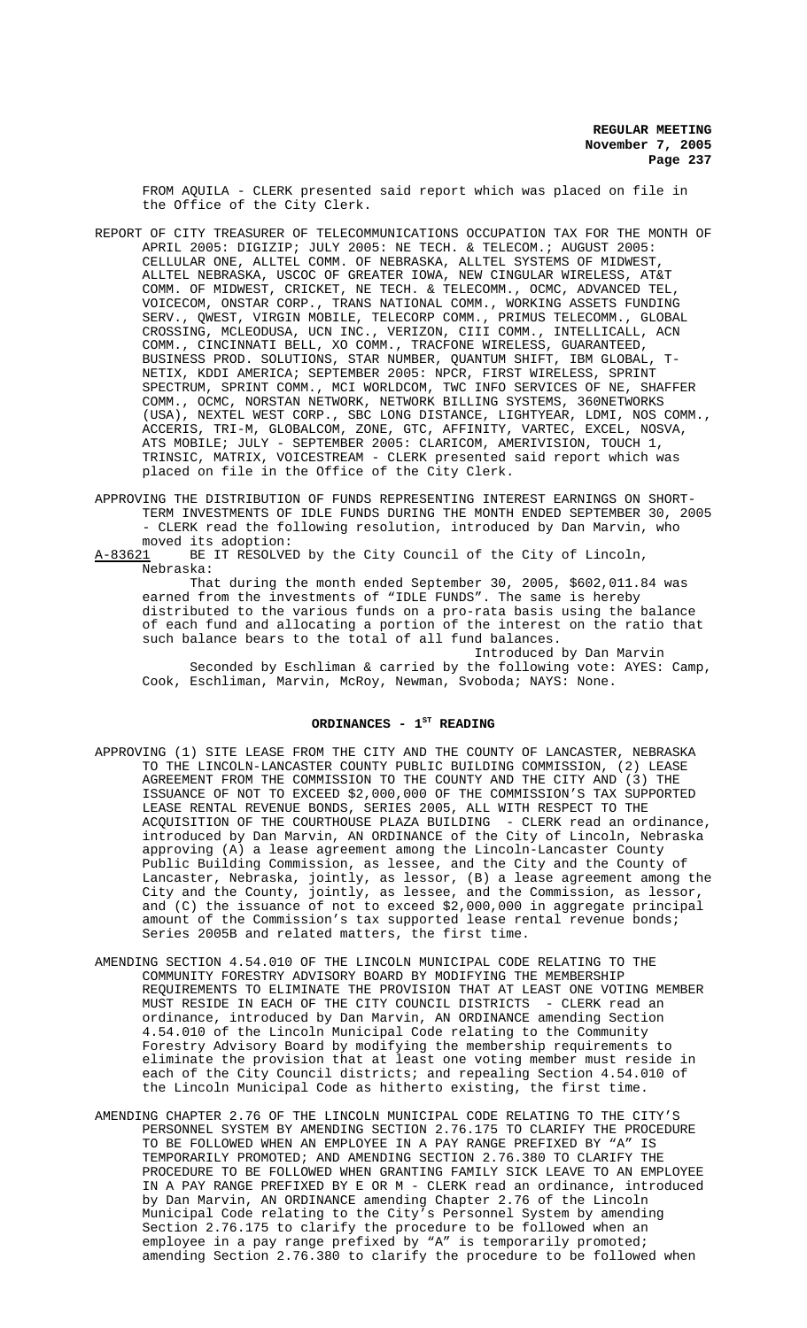FROM AQUILA - CLERK presented said report which was placed on file in the Office of the City Clerk.

- REPORT OF CITY TREASURER OF TELECOMMUNICATIONS OCCUPATION TAX FOR THE MONTH OF APRIL 2005: DIGIZIP; JULY 2005: NE TECH. & TELECOM.; AUGUST 2005: CELLULAR ONE, ALLTEL COMM. OF NEBRASKA, ALLTEL SYSTEMS OF MIDWEST, ALLTEL NEBRASKA, USCOC OF GREATER IOWA, NEW CINGULAR WIRELESS, AT&T COMM. OF MIDWEST, CRICKET, NE TECH. & TELECOMM., OCMC, ADVANCED TEL, VOICECOM, ONSTAR CORP., TRANS NATIONAL COMM., WORKING ASSETS FUNDING SERV., QWEST, VIRGIN MOBILE, TELECORP COMM., PRIMUS TELECOMM., GLOBAL CROSSING, MCLEODUSA, UCN INC., VERIZON, CIII COMM., INTELLICALL, ACN COMM., CINCINNATI BELL, XO COMM., TRACFONE WIRELESS, GUARANTEED, BUSINESS PROD. SOLUTIONS, STAR NUMBER, QUANTUM SHIFT, IBM GLOBAL, T-NETIX, KDDI AMERICA; SEPTEMBER 2005: NPCR, FIRST WIRELESS, SPRINT SPECTRUM, SPRINT COMM., MCI WORLDCOM, TWC INFO SERVICES OF NE, SHAFFER COMM., OCMC, NORSTAN NETWORK, NETWORK BILLING SYSTEMS, 360NETWORKS (USA), NEXTEL WEST CORP., SBC LONG DISTANCE, LIGHTYEAR, LDMI, NOS COMM., ACCERIS, TRI-M, GLOBALCOM, ZONE, GTC, AFFINITY, VARTEC, EXCEL, NOSVA, ATS MOBILE; JULY - SEPTEMBER 2005: CLARICOM, AMERIVISION, TOUCH 1, TRINSIC, MATRIX, VOICESTREAM - CLERK presented said report which was placed on file in the Office of the City Clerk.
- APPROVING THE DISTRIBUTION OF FUNDS REPRESENTING INTEREST EARNINGS ON SHORT-TERM INVESTMENTS OF IDLE FUNDS DURING THE MONTH ENDED SEPTEMBER 30, 2005 - CLERK read the following resolution, introduced by Dan Marvin, who moved its adoption:<br>A-83621 BE IT RESOLVE
- BE IT RESOLVED by the City Council of the City of Lincoln, Nebraska:

That during the month ended September 30, 2005, \$602,011.84 was earned from the investments of "IDLE FUNDS". The same is hereby distributed to the various funds on a pro-rata basis using the balance of each fund and allocating a portion of the interest on the ratio that such balance bears to the total of all fund balances.

Introduced by Dan Marvin Seconded by Eschliman & carried by the following vote: AYES: Camp, Cook, Eschliman, Marvin, McRoy, Newman, Svoboda; NAYS: None.

# ORDINANCES - 1<sup>st</sup> READING

- APPROVING (1) SITE LEASE FROM THE CITY AND THE COUNTY OF LANCASTER, NEBRASKA TO THE LINCOLN-LANCASTER COUNTY PUBLIC BUILDING COMMISSION, (2) LEASE AGREEMENT FROM THE COMMISSION TO THE COUNTY AND THE CITY AND (3) THE ISSUANCE OF NOT TO EXCEED \$2,000,000 OF THE COMMISSION'S TAX SUPPORTED LEASE RENTAL REVENUE BONDS, SERIES 2005, ALL WITH RESPECT TO THE ACQUISITION OF THE COURTHOUSE PLAZA BUILDING - CLERK read an ordinance, introduced by Dan Marvin, AN ORDINANCE of the City of Lincoln, Nebraska approving (A) a lease agreement among the Lincoln-Lancaster County Public Building Commission, as lessee, and the City and the County of Lancaster, Nebraska, jointly, as lessor, (B) a lease agreement among the City and the County, jointly, as lessee, and the Commission, as lessor, and (C) the issuance of not to exceed \$2,000,000 in aggregate principal amount of the Commission's tax supported lease rental revenue bonds; Series 2005B and related matters, the first time.
- AMENDING SECTION 4.54.010 OF THE LINCOLN MUNICIPAL CODE RELATING TO THE COMMUNITY FORESTRY ADVISORY BOARD BY MODIFYING THE MEMBERSHIP REQUIREMENTS TO ELIMINATE THE PROVISION THAT AT LEAST ONE VOTING MEMBER MUST RESIDE IN EACH OF THE CITY COUNCIL DISTRICTS - CLERK read an ordinance, introduced by Dan Marvin, AN ORDINANCE amending Section 4.54.010 of the Lincoln Municipal Code relating to the Community Forestry Advisory Board by modifying the membership requirements to eliminate the provision that at least one voting member must reside in each of the City Council districts; and repealing Section 4.54.010 of the Lincoln Municipal Code as hitherto existing, the first time.
- AMENDING CHAPTER 2.76 OF THE LINCOLN MUNICIPAL CODE RELATING TO THE CITY'S PERSONNEL SYSTEM BY AMENDING SECTION 2.76.175 TO CLARIFY THE PROCEDURE TO BE FOLLOWED WHEN AN EMPLOYEE IN A PAY RANGE PREFIXED BY "A" IS TEMPORARILY PROMOTED; AND AMENDING SECTION 2.76.380 TO CLARIFY THE PROCEDURE TO BE FOLLOWED WHEN GRANTING FAMILY SICK LEAVE TO AN EMPLOYEE IN A PAY RANGE PREFIXED BY E OR M - CLERK read an ordinance, introduced by Dan Marvin, AN ORDINANCE amending Chapter 2.76 of the Lincoln Municipal Code relating to the City's Personnel System by amending Section 2.76.175 to clarify the procedure to be followed when an employee in a pay range prefixed by "A" is temporarily promoted; amending Section 2.76.380 to clarify the procedure to be followed when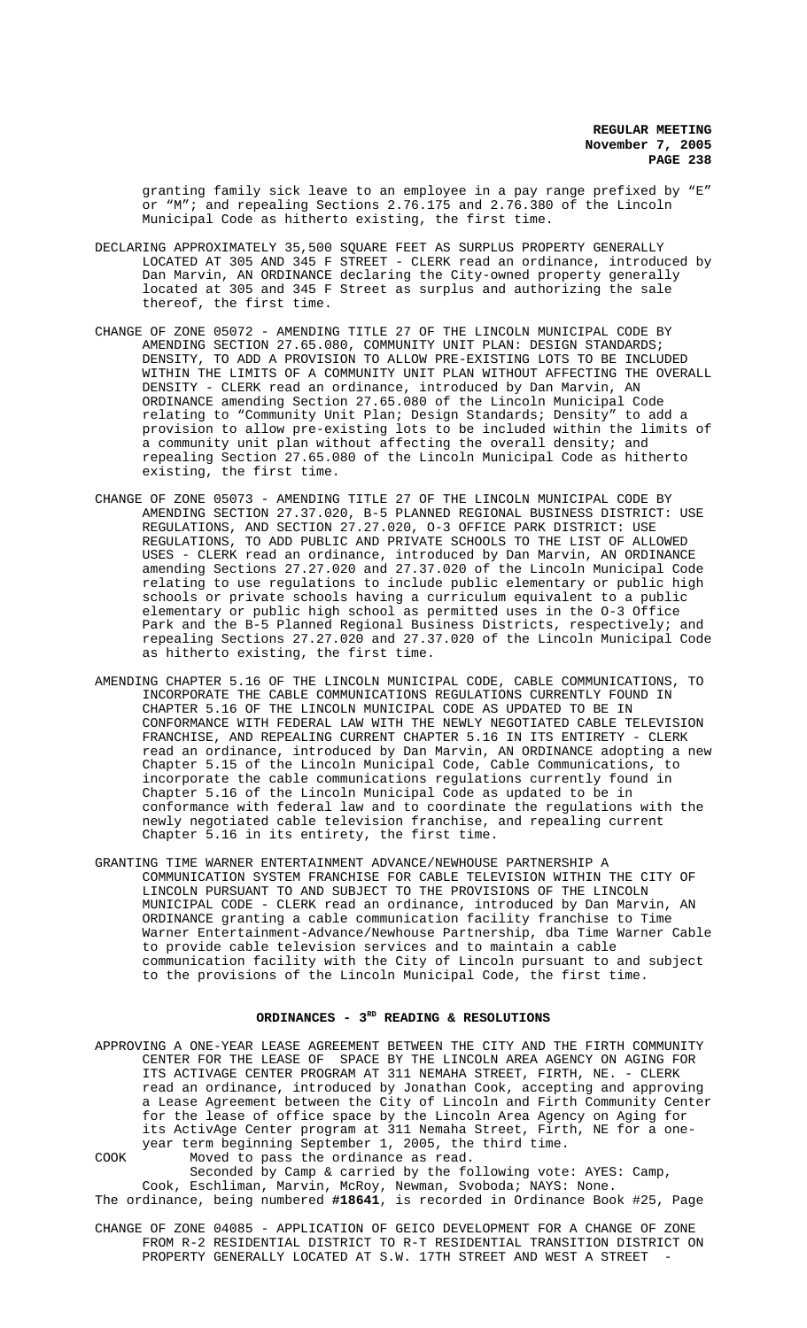granting family sick leave to an employee in a pay range prefixed by "E" or "M"; and repealing Sections 2.76.175 and 2.76.380 of the Lincoln Municipal Code as hitherto existing, the first time.

- DECLARING APPROXIMATELY 35,500 SQUARE FEET AS SURPLUS PROPERTY GENERALLY LOCATED AT 305 AND 345 F STREET - CLERK read an ordinance, introduced by Dan Marvin, AN ORDINANCE declaring the City-owned property generally located at 305 and 345 F Street as surplus and authorizing the sale thereof, the first time.
- CHANGE OF ZONE 05072 AMENDING TITLE 27 OF THE LINCOLN MUNICIPAL CODE BY AMENDING SECTION 27.65.080, COMMUNITY UNIT PLAN: DESIGN STANDARDS; DENSITY, TO ADD A PROVISION TO ALLOW PRE-EXISTING LOTS TO BE INCLUDED WITHIN THE LIMITS OF A COMMUNITY UNIT PLAN WITHOUT AFFECTING THE OVERALL DENSITY - CLERK read an ordinance, introduced by Dan Marvin, AN ORDINANCE amending Section 27.65.080 of the Lincoln Municipal Code relating to "Community Unit Plan; Design Standards; Density" to add a provision to allow pre-existing lots to be included within the limits of a community unit plan without affecting the overall density; and repealing Section 27.65.080 of the Lincoln Municipal Code as hitherto existing, the first time.
- CHANGE OF ZONE 05073 AMENDING TITLE 27 OF THE LINCOLN MUNICIPAL CODE BY AMENDING SECTION 27.37.020, B-5 PLANNED REGIONAL BUSINESS DISTRICT: USE REGULATIONS, AND SECTION 27.27.020, O-3 OFFICE PARK DISTRICT: USE REGULATIONS, TO ADD PUBLIC AND PRIVATE SCHOOLS TO THE LIST OF ALLOWED USES - CLERK read an ordinance, introduced by Dan Marvin, AN ORDINANCE amending Sections 27.27.020 and 27.37.020 of the Lincoln Municipal Code relating to use regulations to include public elementary or public high schools or private schools having a curriculum equivalent to a public elementary or public high school as permitted uses in the O-3 Office Park and the B-5 Planned Regional Business Districts, respectively; and repealing Sections 27.27.020 and 27.37.020 of the Lincoln Municipal Code as hitherto existing, the first time.
- AMENDING CHAPTER 5.16 OF THE LINCOLN MUNICIPAL CODE, CABLE COMMUNICATIONS, TO INCORPORATE THE CABLE COMMUNICATIONS REGULATIONS CURRENTLY FOUND IN CHAPTER 5.16 OF THE LINCOLN MUNICIPAL CODE AS UPDATED TO BE IN CONFORMANCE WITH FEDERAL LAW WITH THE NEWLY NEGOTIATED CABLE TELEVISION FRANCHISE, AND REPEALING CURRENT CHAPTER 5.16 IN ITS ENTIRETY - CLERK read an ordinance, introduced by Dan Marvin, AN ORDINANCE adopting a new Chapter 5.15 of the Lincoln Municipal Code, Cable Communications, to incorporate the cable communications regulations currently found in Chapter 5.16 of the Lincoln Municipal Code as updated to be in conformance with federal law and to coordinate the regulations with the newly negotiated cable television franchise, and repealing current Chapter 5.16 in its entirety, the first time.
- GRANTING TIME WARNER ENTERTAINMENT ADVANCE/NEWHOUSE PARTNERSHIP A COMMUNICATION SYSTEM FRANCHISE FOR CABLE TELEVISION WITHIN THE CITY OF LINCOLN PURSUANT TO AND SUBJECT TO THE PROVISIONS OF THE LINCOLN MUNICIPAL CODE - CLERK read an ordinance, introduced by Dan Marvin, AN ORDINANCE granting a cable communication facility franchise to Time Warner Entertainment-Advance/Newhouse Partnership, dba Time Warner Cable to provide cable television services and to maintain a cable communication facility with the City of Lincoln pursuant to and subject to the provisions of the Lincoln Municipal Code, the first time.

### ORDINANCES - 3<sup>RD</sup> READING & RESOLUTIONS

APPROVING A ONE-YEAR LEASE AGREEMENT BETWEEN THE CITY AND THE FIRTH COMMUNITY CENTER FOR THE LEASE OF SPACE BY THE LINCOLN AREA AGENCY ON AGING FOR ITS ACTIVAGE CENTER PROGRAM AT 311 NEMAHA STREET, FIRTH, NE. - CLERK read an ordinance, introduced by Jonathan Cook, accepting and approving a Lease Agreement between the City of Lincoln and Firth Community Center for the lease of office space by the Lincoln Area Agency on Aging for its ActivAge Center program at 311 Nemaha Street, Firth, NE for a oneyear term beginning September 1, 2005, the third time.

COOK Moved to pass the ordinance as read.

Seconded by Camp & carried by the following vote: AYES: Camp, Cook, Eschliman, Marvin, McRoy, Newman, Svoboda; NAYS: None. The ordinance, being numbered **#18641**, is recorded in Ordinance Book #25, Page

CHANGE OF ZONE 04085 - APPLICATION OF GEICO DEVELOPMENT FOR A CHANGE OF ZONE FROM R-2 RESIDENTIAL DISTRICT TO R-T RESIDENTIAL TRANSITION DISTRICT ON PROPERTY GENERALLY LOCATED AT S.W. 17TH STREET AND WEST A STREET